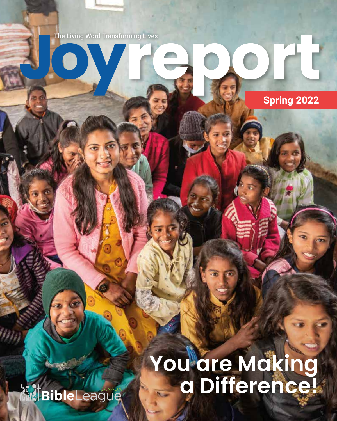

# **You are Making a Difference!**

**Spring 2022**

**Maril BibleLeague**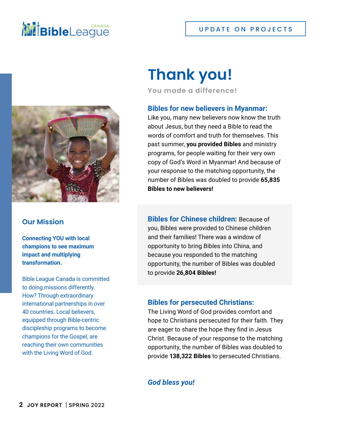## **NIE Bible**League



### **Our Mission**

**Connecting YOU with local champions to see maximum impact and multiplying transformation.**

Bible League Canada is committed to doing missions differently. How? Through extraordinary international partnerships in over 40 countries. Local believers, equipped through Bible-centric discipleship programs to become champions for the Gospel, are reaching their own communities with the Living Word of God.

## **Thank you!**

**You made a difference!**

### **Bibles for new believers in Myanmar:**

Like you, many new believers now know the truth about Jesus, but they need a Bible to read the words of comfort and truth for themselves. This past summer, **you provided Bibles** and ministry programs, for people waiting for their very own copy of God's Word in Myanmar! And because of your response to the matching opportunity, the number of Bibles was doubled to provide **65,835 Bibles to new believers!**

**Bibles for Chinese children:** Because of you, Bibles were provided to Chinese children and their families! There was a window of opportunity to bring Bibles into China, and because you responded to the matching opportunity, the number of Bibles was doubled to provide **26,804 Bibles!**

### **Bibles for persecuted Christians:**

The Living Word of God provides comfort and hope to Christians persecuted for their faith. They are eager to share the hope they find in Jesus Christ. Because of your response to the matching opportunity, the number of Bibles was doubled to provide **138,322 Bibles** to persecuted Christians.

### *God bless you!*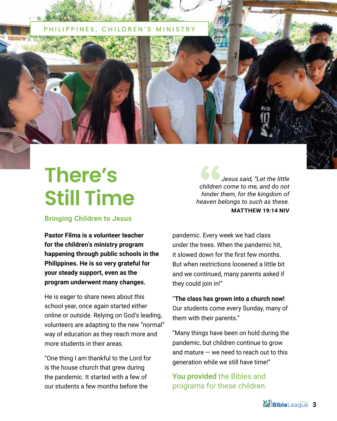

## **There's Still Time**

### **Bringing Children to Jesus**

**Pastor Filma is a volunteer teacher for the children's ministry program happening through public schools in the Philippines. He is so very grateful for your steady support, even as the program underwent many changes.** 

He is eager to share news about this school year, once again started either online or outside. Relying on God's leading, volunteers are adapting to the new "normal" way of education as they reach more and more students in their areas.

"One thing I am thankful to the Lord for is the house church that grew during the pandemic. It started with a few of our students a few months before the

*Jesus said, "Let the little children come to me, and do not hinder them, for the kingdom of heaven belongs to such as these.* **MATTHEW 19:14 NIV**

pandemic. Every week we had class under the trees. When the pandemic hit, it slowed down for the first few months. But when restrictions loosened a little bit and we continued, many parents asked if they could join in!"

"**The class has grown into a church now!**  Our students come every Sunday, many of them with their parents."

"Many things have been on hold during the pandemic, but children continue to grow and mature  $-$  we need to reach out to this generation while we still have time!"

**You provided** the Bibles and programs for these children.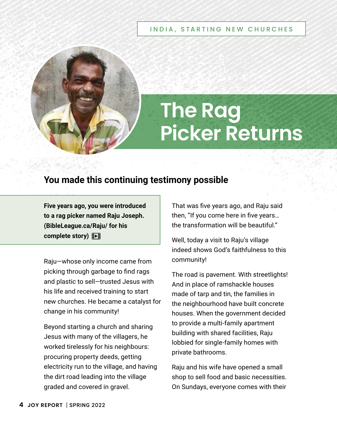#### INDIA, STARTING NEW CHURCHES



# **The Rag Picker Returns**

## **You made this continuing testimony possible**

**Five years ago, you were introduced to a rag picker named Raju Joseph. ([BibleLeague.ca/Raju/](https://www.youtube.com/watch?v=3HarxlWb8-8) for his complete story)** 

Raju—whose only income came from picking through garbage to find rags and plastic to sell—trusted Jesus with his life and received training to start new churches. He became a catalyst for change in his community!

Beyond starting a church and sharing Jesus with many of the villagers, he worked tirelessly for his neighbours: procuring property deeds, getting electricity run to the village, and having the dirt road leading into the village graded and covered in gravel.

That was five years ago, and Raju said then, "If you come here in five years… the transformation will be beautiful."

Well, today a visit to Raju's village indeed shows God's faithfulness to this community!

The road is pavement. With streetlights! And in place of ramshackle houses made of tarp and tin, the families in the neighbourhood have built concrete houses. When the government decided to provide a multi-family apartment building with shared facilities, Raju lobbied for single-family homes with private bathrooms.

Raju and his wife have opened a small shop to sell food and basic necessities. On Sundays, everyone comes with their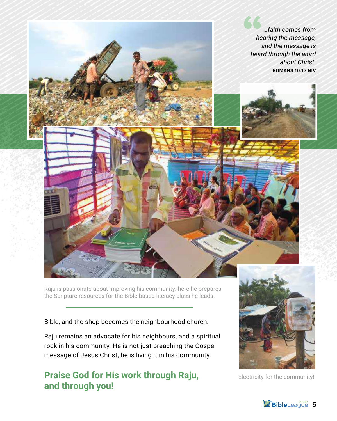

Raju is passionate about improving his community: here he prepares the Scripture resources for the Bible-based literacy class he leads.

Bible, and the shop becomes the neighbourhood church.

Raju remains an advocate for his neighbours, and a spiritual rock in his community. He is not just preaching the Gospel message of Jesus Christ, he is living it in his community.

## **Praise God for His work through Raju, and through you!**



Electricity for the community!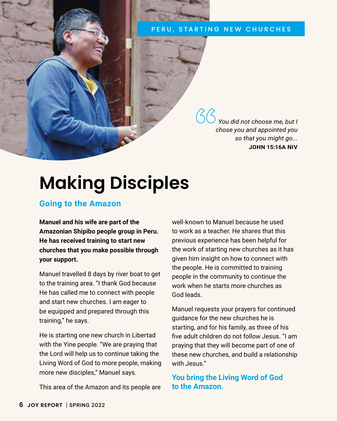#### PERU, STARTING NEW CHURCHES

*You did not choose me, but I chose you and appointed you so that you might go...* **JOHN 15:16A NIV**

## **Making Disciples**

### **Going to the Amazon**

**Manuel and his wife are part of the Amazonian Shipibo people group in Peru. He has received training to start new churches that you make possible through your support.** 

Manuel travelled 8 days by river boat to get to the training area. "I thank God because He has called me to connect with people and start new churches. I am eager to be equipped and prepared through this training," he says.

He is starting one new church in Libertad with the Yine people. "We are praying that the Lord will help us to continue taking the Living Word of God to more people, making more new disciples," Manuel says.

This area of the Amazon and its people are

well-known to Manuel because he used to work as a teacher. He shares that this previous experience has been helpful for the work of starting new churches as it has given him insight on how to connect with the people. He is committed to training people in the community to continue the work when he starts more churches as God leads.

Manuel requests your prayers for continued guidance for the new churches he is starting, and for his family, as three of his five adult children do not follow Jesus. "I am praying that they will become part of one of these new churches, and build a relationship with Jesus."

**You bring the Living Word of God to the Amazon.**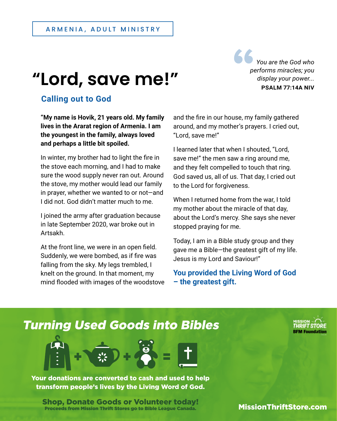## **"Lord, save me!"**

*You are the God who performs miracles; you display your power...* **PSALM 77:14A NIV**

## **Calling out to God**

**"My name is Hovik, 21 years old. My family lives in the Ararat region of Armenia. I am the youngest in the family, always loved and perhaps a little bit spoiled.** 

In winter, my brother had to light the fire in the stove each morning, and I had to make sure the wood supply never ran out. Around the stove, my mother would lead our family in prayer, whether we wanted to or not—and I did not. God didn't matter much to me.

I joined the army after graduation because in late September 2020, war broke out in Artsakh.

At the front line, we were in an open field. Suddenly, we were bombed, as if fire was falling from the sky. My legs trembled, I knelt on the ground. In that moment, my mind flooded with images of the woodstove and the fire in our house, my family gathered around, and my mother's prayers. I cried out, "Lord, save me!"

I learned later that when I shouted, "Lord, save me!" the men saw a ring around me, and they felt compelled to touch that ring. God saved us, all of us. That day, I cried out to the Lord for forgiveness.

When I returned home from the war, I told my mother about the miracle of that day, about the Lord's mercy. She says she never stopped praying for me.

Today, I am in a Bible study group and they gave me a Bible—the greatest gift of my life. Jesus is my Lord and Saviour!"

**You provided the Living Word of God – the greatest gift.**

## [Turning Used Goods into Bibles](https://missionthriftstore.com)



Your donations are converted to cash and used to help transform people's lives by the Living Word of God.

Shop, Donate Goods or Volunteer today! Proceeds from Mission Thrift Stores go to Bible League Canada.

**MissionThriftStore.com**